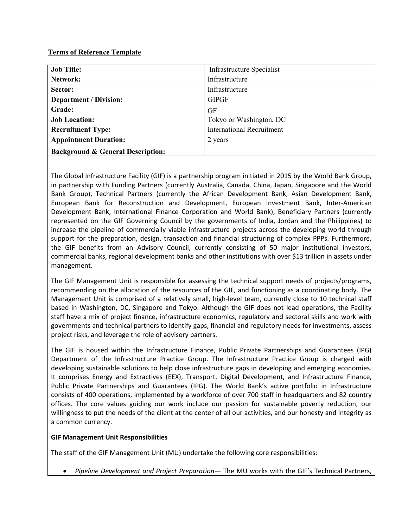### **Terms of Reference Template**

| <b>Job Title:</b>                            | Infrastructure Specialist        |
|----------------------------------------------|----------------------------------|
| Network:                                     | Infrastructure                   |
| Sector:                                      | Infrastructure                   |
| <b>Department / Division:</b>                | <b>GIPGF</b>                     |
| Grade:                                       | GF                               |
| <b>Job Location:</b>                         | Tokyo or Washington, DC          |
| <b>Recruitment Type:</b>                     | <b>International Recruitment</b> |
| <b>Appointment Duration:</b>                 | 2 years                          |
| <b>Background &amp; General Description:</b> |                                  |

The Global Infrastructure Facility (GIF) is a partnership program initiated in 2015 by the World Bank Group, in partnership with Funding Partners (currently Australia, Canada, China, Japan, Singapore and the World Bank Group), Technical Partners (currently the African Development Bank, Asian Development Bank, European Bank for Reconstruction and Development, European Investment Bank, Inter-American Development Bank, International Finance Corporation and World Bank), Beneficiary Partners (currently represented on the GIF Governing Council by the governments of India, Jordan and the Philippines) to increase the pipeline of commercially viable infrastructure projects across the developing world through support for the preparation, design, transaction and financial structuring of complex PPPs. Furthermore, the GIF benefits from an Advisory Council, currently consisting of 50 major institutional investors, commercial banks, regional development banks and other institutions with over \$13 trillion in assets under management.

The GIF Management Unit is responsible for assessing the technical support needs of projects/programs, recommending on the allocation of the resources of the GIF, and functioning as a coordinating body. The Management Unit is comprised of a relatively small, high-level team, currently close to 10 technical staff based in Washington, DC, Singapore and Tokyo. Although the GIF does not lead operations, the Facility staff have a mix of project finance, infrastructure economics, regulatory and sectoral skills and work with governments and technical partners to identify gaps, financial and regulatory needs for investments, assess project risks, and leverage the role of advisory partners.

The GIF is housed within the Infrastructure Finance, Public Private Partnerships and Guarantees (IPG) Department of the Infrastructure Practice Group. The Infrastructure Practice Group is charged with developing sustainable solutions to help close infrastructure gaps in developing and emerging economies. It comprises Energy and Extractives (EEX), Transport, Digital Development, and Infrastructure Finance, Public Private Partnerships and Guarantees (IPG). The World Bank's active portfolio in Infrastructure consists of 400 operations, implemented by a workforce of over 700 staff in headquarters and 82 country offices. The core values guiding our work include our passion for sustainable poverty reduction, our willingness to put the needs of the client at the center of all our activities, and our honesty and integrity as a common currency.

# **GIF Management Unit Responsibilities**

The staff of the GIF Management Unit (MU) undertake the following core responsibilities:

• *Pipeline Development and Project Preparation*— The MU works with the GIF's Technical Partners,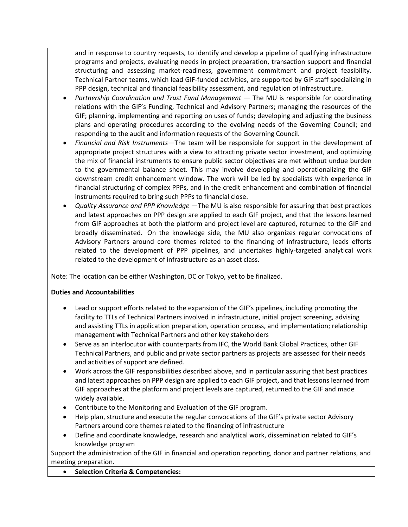and in response to country requests, to identify and develop a pipeline of qualifying infrastructure programs and projects, evaluating needs in project preparation, transaction support and financial structuring and assessing market-readiness, government commitment and project feasibility. Technical Partner teams, which lead GIF-funded activities, are supported by GIF staff specializing in PPP design, technical and financial feasibility assessment, and regulation of infrastructure.

- *Partnership Coordination and Trust Fund Management*  The MU is responsible for coordinating relations with the GIF's Funding, Technical and Advisory Partners; managing the resources of the GIF; planning, implementing and reporting on uses of funds; developing and adjusting the business plans and operating procedures according to the evolving needs of the Governing Council; and responding to the audit and information requests of the Governing Council.
- *Financial and Risk Instruments*—The team will be responsible for support in the development of appropriate project structures with a view to attracting private sector investment, and optimizing the mix of financial instruments to ensure public sector objectives are met without undue burden to the governmental balance sheet. This may involve developing and operationalizing the GIF downstream credit enhancement window. The work will be led by specialists with experience in financial structuring of complex PPPs, and in the credit enhancement and combination of financial instruments required to bring such PPPs to financial close.
- *Quality Assurance and PPP Knowledge* —The MU is also responsible for assuring that best practices and latest approaches on PPP design are applied to each GIF project, and that the lessons learned from GIF approaches at both the platform and project level are captured, returned to the GIF and broadly disseminated. On the knowledge side, the MU also organizes regular convocations of Advisory Partners around core themes related to the financing of infrastructure, leads efforts related to the development of PPP pipelines, and undertakes highly-targeted analytical work related to the development of infrastructure as an asset class.

Note: The location can be either Washington, DC or Tokyo, yet to be finalized.

# **Duties and Accountabilities**

- Lead or support efforts related to the expansion of the GIF's pipelines, including promoting the facility to TTLs of Technical Partners involved in infrastructure, initial project screening, advising and assisting TTLs in application preparation, operation process, and implementation; relationship management with Technical Partners and other key stakeholders
- Serve as an interlocutor with counterparts from IFC, the World Bank Global Practices, other GIF Technical Partners, and public and private sector partners as projects are assessed for their needs and activities of support are defined.
- Work across the GIF responsibilities described above, and in particular assuring that best practices and latest approaches on PPP design are applied to each GIF project, and that lessons learned from GIF approaches at the platform and project levels are captured, returned to the GIF and made widely available.
- Contribute to the Monitoring and Evaluation of the GIF program.
- Help plan, structure and execute the regular convocations of the GIF's private sector Advisory Partners around core themes related to the financing of infrastructure
- Define and coordinate knowledge, research and analytical work, dissemination related to GIF's knowledge program

Support the administration of the GIF in financial and operation reporting, donor and partner relations, and meeting preparation.

• **Selection Criteria & Competencies:**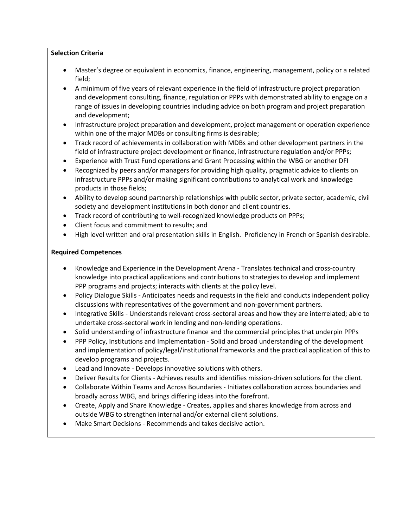### **Selection Criteria**

- Master's degree or equivalent in economics, finance, engineering, management, policy or a related field;
- A minimum of five years of relevant experience in the field of infrastructure project preparation and development consulting, finance, regulation or PPPs with demonstrated ability to engage on a range of issues in developing countries including advice on both program and project preparation and development;
- Infrastructure project preparation and development, project management or operation experience within one of the major MDBs or consulting firms is desirable;
- Track record of achievements in collaboration with MDBs and other development partners in the field of infrastructure project development or finance, infrastructure regulation and/or PPPs;
- Experience with Trust Fund operations and Grant Processing within the WBG or another DFI
- Recognized by peers and/or managers for providing high quality, pragmatic advice to clients on infrastructure PPPs and/or making significant contributions to analytical work and knowledge products in those fields;
- Ability to develop sound partnership relationships with public sector, private sector, academic, civil society and development institutions in both donor and client countries.
- Track record of contributing to well-recognized knowledge products on PPPs;
- Client focus and commitment to results; and
- High level written and oral presentation skills in English. Proficiency in French or Spanish desirable.

# **Required Competences**

- Knowledge and Experience in the Development Arena Translates technical and cross-country knowledge into practical applications and contributions to strategies to develop and implement PPP programs and projects; interacts with clients at the policy level.
- Policy Dialogue Skills Anticipates needs and requests in the field and conducts independent policy discussions with representatives of the government and non-government partners.
- Integrative Skills Understands relevant cross-sectoral areas and how they are interrelated; able to undertake cross-sectoral work in lending and non-lending operations.
- Solid understanding of infrastructure finance and the commercial principles that underpin PPPs
- PPP Policy, Institutions and Implementation Solid and broad understanding of the development and implementation of policy/legal/institutional frameworks and the practical application of this to develop programs and projects.
- Lead and Innovate Develops innovative solutions with others.
- Deliver Results for Clients Achieves results and identifies mission-driven solutions for the client.
- Collaborate Within Teams and Across Boundaries Initiates collaboration across boundaries and broadly across WBG, and brings differing ideas into the forefront.
- Create, Apply and Share Knowledge Creates, applies and shares knowledge from across and outside WBG to strengthen internal and/or external client solutions.
- Make Smart Decisions Recommends and takes decisive action.